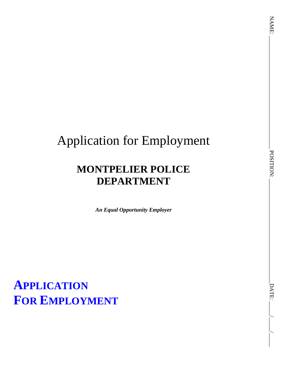# Application for Employment

## **MONTPELIER POLICE DEPARTMENT**

*An Equal Opportunity Employer*

**APPLICATION FOR EMPLOYMENT**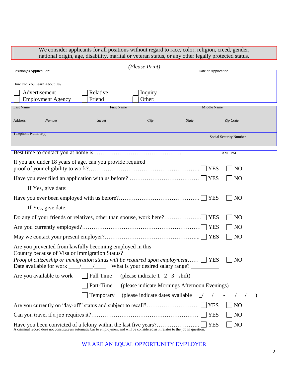We consider applicants for all positions without regard to race, color, religion, creed, gender, national origin, age, disability, marital or veteran status, or any other legally protected status.

| (Please Print)                                                                                                                                                                                                                                                                                                                                                                                    |                    |                                                  |                      |                        |
|---------------------------------------------------------------------------------------------------------------------------------------------------------------------------------------------------------------------------------------------------------------------------------------------------------------------------------------------------------------------------------------------------|--------------------|--------------------------------------------------|----------------------|------------------------|
| Position(s) Applied For:                                                                                                                                                                                                                                                                                                                                                                          |                    |                                                  | Date of Application: |                        |
| How Did You Learn About Us?                                                                                                                                                                                                                                                                                                                                                                       |                    |                                                  |                      |                        |
|                                                                                                                                                                                                                                                                                                                                                                                                   |                    |                                                  |                      |                        |
| Advertisement                                                                                                                                                                                                                                                                                                                                                                                     | Relative<br>Friend | Inquiry<br>Other:                                |                      |                        |
| <b>Employment Agency</b>                                                                                                                                                                                                                                                                                                                                                                          |                    |                                                  |                      |                        |
| <b>Last Name</b>                                                                                                                                                                                                                                                                                                                                                                                  | <b>First Name</b>  |                                                  | <b>Middle Name</b>   |                        |
| <b>Address</b><br><b>Number</b>                                                                                                                                                                                                                                                                                                                                                                   | <b>Street</b>      | City                                             | <b>State</b>         | Zip Code               |
|                                                                                                                                                                                                                                                                                                                                                                                                   |                    |                                                  |                      |                        |
| Telephone Number(s)                                                                                                                                                                                                                                                                                                                                                                               |                    |                                                  |                      | Social Security Number |
|                                                                                                                                                                                                                                                                                                                                                                                                   |                    |                                                  |                      |                        |
|                                                                                                                                                                                                                                                                                                                                                                                                   |                    |                                                  |                      |                        |
|                                                                                                                                                                                                                                                                                                                                                                                                   |                    |                                                  |                      | AM PM                  |
| If you are under 18 years of age, can you provide required                                                                                                                                                                                                                                                                                                                                        |                    |                                                  |                      |                        |
| $\overline{N}$                                                                                                                                                                                                                                                                                                                                                                                    |                    |                                                  |                      |                        |
| NO                                                                                                                                                                                                                                                                                                                                                                                                |                    |                                                  |                      |                        |
| If Yes, give date:                                                                                                                                                                                                                                                                                                                                                                                |                    |                                                  |                      |                        |
| <b>YES</b><br>N <sub>O</sub>                                                                                                                                                                                                                                                                                                                                                                      |                    |                                                  |                      |                        |
| If Yes, give date:                                                                                                                                                                                                                                                                                                                                                                                |                    |                                                  |                      |                        |
|                                                                                                                                                                                                                                                                                                                                                                                                   |                    |                                                  | <b>YES</b>           | N <sub>O</sub>         |
| <b>YES</b><br>N <sub>O</sub>                                                                                                                                                                                                                                                                                                                                                                      |                    |                                                  |                      |                        |
| <b>YES</b><br>$\overline{\rm NO}$                                                                                                                                                                                                                                                                                                                                                                 |                    |                                                  |                      |                        |
| Are you prevented from lawfully becoming employed in this                                                                                                                                                                                                                                                                                                                                         |                    |                                                  |                      |                        |
| Country because of Visa or Immigration Status?                                                                                                                                                                                                                                                                                                                                                    |                    |                                                  |                      |                        |
| <i>Proof of citizenship or immigration status will be required upon employment</i> $\Box$ YES<br>N <sub>O</sub>                                                                                                                                                                                                                                                                                   |                    |                                                  |                      |                        |
| Date available for work $\frac{1}{\sqrt{1-\frac{1}{1-\frac{1}{1-\frac{1}{1-\frac{1}{1-\frac{1}{1-\frac{1}{1-\frac{1}{1-\frac{1}{1-\frac{1}{1-\frac{1}{1-\frac{1}{1-\frac{1}{1-\frac{1}{1-\frac{1}{1-\frac{1}{1-\frac{1}{1-\frac{1}{1-\frac{1}{1-\frac{1}{1-\frac{1}{1-\frac{1}{1-\frac{1}{1-\frac{1}{1-\frac{1}{1-\frac{1}{1-\frac{1}{1-\frac{1}{1-\frac{1}{1-\frac{1}{1-\frac{1}{1-\frac{1}{1-\$ |                    |                                                  |                      |                        |
| Are you available to work $\Box$ Full Time (please indicate 1 2 3 shift)                                                                                                                                                                                                                                                                                                                          |                    |                                                  |                      |                        |
| Part-Time<br>(please indicate Mornings Afternoon Evenings)                                                                                                                                                                                                                                                                                                                                        |                    |                                                  |                      |                        |
|                                                                                                                                                                                                                                                                                                                                                                                                   | Temporary          | (please indicate dates available $\frac{1}{2}$ / |                      |                        |
|                                                                                                                                                                                                                                                                                                                                                                                                   |                    |                                                  | <b>YES</b>           | NO                     |
| <b>YES</b><br>N <sub>O</sub>                                                                                                                                                                                                                                                                                                                                                                      |                    |                                                  |                      |                        |
| $\overline{N}$<br><b>YES</b><br>A criminal record does not constitute an automatic bar to employment and will be considered as it relates to the job in question.                                                                                                                                                                                                                                 |                    |                                                  |                      |                        |
|                                                                                                                                                                                                                                                                                                                                                                                                   |                    |                                                  |                      |                        |

#### WE ARE AN EQUAL OPPORTUNITY EMPLOYER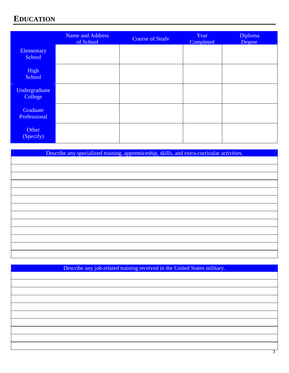## **EDUCATION**

|                          | Name and Address<br>of School | <b>Course of Study</b> | Year<br>Completed | Diploma<br>Degree |
|--------------------------|-------------------------------|------------------------|-------------------|-------------------|
| Elementary<br>School     |                               |                        |                   |                   |
| High<br>School           |                               |                        |                   |                   |
| Undergraduate<br>College |                               |                        |                   |                   |
| Graduate<br>Professional |                               |                        |                   |                   |
| Other<br>(Specify)       |                               |                        |                   |                   |

Describe any specialized training, apprenticeship, skills, and extra-curricular activities.

Describe any job-related training received in the United States military.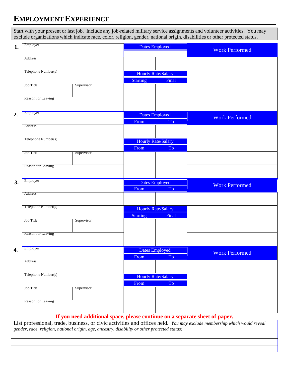## **EMPLOYMENT EXPERIENCE**

Employer Dates Employed Work Performed Address Telephone Number(s) **Hourly Rate/Salary** Starting Final Job Title Supervisor Reason for Leaving Employer Dates Employed From To Work Performed Address Telephone Number(s) and the contract of the Hourly Rate/Salary From To Job Title Supervisor Reason for Leaving Employer Dates Employed Nork Performed From To Address Telephone Number(s) **Hourly Rate/Salary** Starting Final Job Title Supervisor Reason for Leaving Employer Dates Employed From To Work Performed Address Telephone Number(s) **Hourly Rate/Salary** From To Job Title Supervisor Reason for Leaving Start with your present or last job. Include any job-related military service assignments and volunteer activities. You may exclude organizations which indicate race, color, religion, gender, national origin, disabilities or other protected status. **1. 2. 3. 4. If you need additional space, please continue on a separate sheet of paper.**

List professional, trade, business, or civic activities and offices held. *You may exclude membership which would reveal gender, race, religion, national origin, age, ancestry, disability or other protected status:*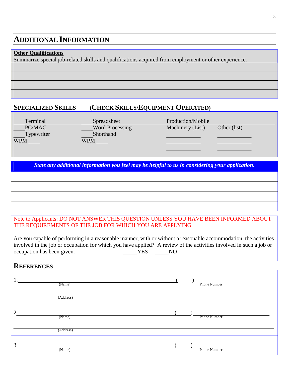## **ADDITIONAL INFORMATION**

#### **Other Qualifications**

Summarize special job-related skills and qualifications acquired from employment or other experience.

#### **SPECIALIZED SKILLS (CHECK SKILLS/EQUIPMENT OPERATED)**

Terminal PC/MAC Typewriter WPM

Shorthand WPM

Spreadsheet Production/Mobile Word Processing Machinery (List) Other (list)

*State any additional information you feel may be helpful to us in considering your application.*

#### Note to Applicants: DO NOT ANSWER THIS QUESTION UNLESS YOU HAVE BEEN INFORMED ABOUT THE REQUIREMENTS OF THE JOB FOR WHICH YOU ARE APPLYING.

Are you capable of performing in a reasonable manner, with or without a reasonable accommodation, the activities involved in the job or occupation for which you have applied? A review of the activities involved in such a job or occupation has been given. YES NO

**REFERENCES**

|               | (Name)    |  | <b>Phone Number</b> |
|---------------|-----------|--|---------------------|
|               | (Address) |  |                     |
| $\mathcal{D}$ | (Name)    |  | <b>Phone Number</b> |
|               | (Address) |  |                     |
| 3             | (Name)    |  | <b>Phone Number</b> |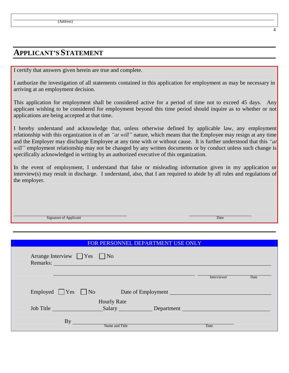## **APPLICANT'S STATEMENT**

I certify that answers given herein are true and complete.

I authorize the investigation of all statements contained in this application for employment as may be necessary in arriving at an employment decision.

This application for employment shall be considered active for a period of time not to exceed 45 days. Any applicant wishing to be considered for employment beyond this time period should inquire as to whether or not applications are being accepted at that time.

I hereby understand and acknowledge that, unless otherwise defined by applicable law, any employment relationship with this organization is of an *"at will"* nature, which means that the Employee may resign at any time and the Employer may discharge Employee at any time with or without cause. It is further understood that this *"at will*" employment relationship may not be changed by any written documents or by conduct unless such change is specifically acknowledged in writing by an authorized executive of this organization.

In the event of employment, I understand that false or misleading information given in my application or interview(s) may result in discharge. I understand, also, that I am required to abide by all rules and regulations of the employer.

Signature of Applicant Date Date of Applicant Date of Applicant Date of Applicant Date of Applicant Date of Applicant Date of Applicant Date of Applicant Date of Applicant Date of Applicant Date of Applicant Date of Applic

| FOR PERSONNEL DEPARTMENT USE ONLY                                                                                                                                                                                                                             |             |      |
|---------------------------------------------------------------------------------------------------------------------------------------------------------------------------------------------------------------------------------------------------------------|-------------|------|
| Arrange Interview   Yes   No<br>Remarks: New York Changes and Changes and Changes and Changes and Changes and Changes and Changes and Changes and Changes and Changes and Changes and Changes and Changes and Changes and Changes and Changes and Changes and |             |      |
|                                                                                                                                                                                                                                                               | Interviewer | Date |
| Employed Yes No Date of Employment                                                                                                                                                                                                                            |             |      |
| <b>Hourly Rate</b><br>Salary Department<br>Job Title                                                                                                                                                                                                          |             |      |
| $\mathbf{B}\mathbf{y}$                                                                                                                                                                                                                                        |             |      |
| Name and Title                                                                                                                                                                                                                                                | Date        |      |